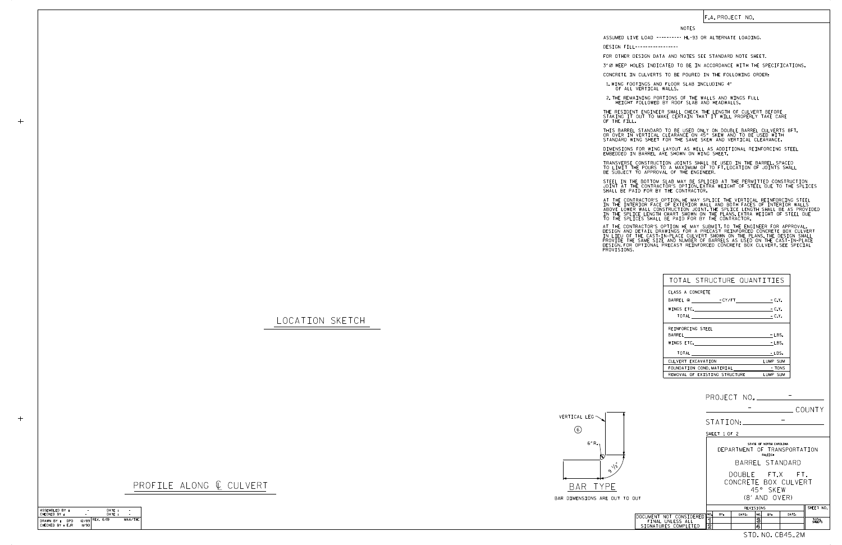| ASSEMBLED BY:                                | $\overline{\phantom{a}}$ | DATE:             |         |
|----------------------------------------------|--------------------------|-------------------|---------|
| CHECKED BY :                                 |                          | DATF:             |         |
| DRAWN RY :<br><b>DPD</b><br>CHECKED BY : EJR | 1/90                     | $12/89$ REV. 6/19 | MAA/THC |

 $+$ 

|        |                                                                     |                            |              |          |                                      |                                    |                                         | COUNTY          |
|--------|---------------------------------------------------------------------|----------------------------|--------------|----------|--------------------------------------|------------------------------------|-----------------------------------------|-----------------|
|        |                                                                     |                            |              | STATION: |                                      |                                    |                                         |                 |
|        |                                                                     |                            | SHEET 1 OF 2 |          |                                      |                                    |                                         |                 |
|        |                                                                     |                            |              |          |                                      | STATE OF NORTH CAROLINA<br>RALEIGH | DEPARTMENT OF TRANSPORTATION            |                 |
|        |                                                                     |                            |              |          |                                      |                                    | BARREL STANDARD                         |                 |
|        |                                                                     |                            |              |          |                                      | 45° SKFW                           | DOUBLE FT.X FT.<br>CONCRETE BOX CULVERT |                 |
| TO OUT |                                                                     |                            |              |          |                                      | $(8'$ AND $OVFR)$                  |                                         |                 |
|        |                                                                     | SHEET NO.<br>REVISIONS     |              |          |                                      |                                    |                                         |                 |
|        | DOCUMENT NOT CONSIDERED<br>FINAL UNLESS ALL<br>SIGNATURES COMPLETED | NO.<br>1<br>$\overline{2}$ | BY:          | DATE:    | NO.<br>$\overline{\mathcal{S}}$<br>4 | BY:                                | DATE:                                   | TOTAL<br>SHEETS |
|        |                                                                     |                            |              |          |                                      |                                    | STD. NO. CB45_2M                        |                 |

LOCATION SKETCH

 $+$ 

|  | profile along ¢ culvert |
|--|-------------------------|
|  |                         |



STEEL IN THE BOTTOM SLAB MAY BE SPLICED AT THE PERMITTED CONSTRUCTION JOINT AT THE CONTRACTOR'S OPTION.EXTRA WEIGHT OF STEEL DUE TO THE SPLICES<br>SHALL BE PAID FOR BY THE CONTRACTOR.

| TOTAL STRUCTURE QUANTITIES                                                                                                                                                                                                     |          |
|--------------------------------------------------------------------------------------------------------------------------------------------------------------------------------------------------------------------------------|----------|
| CLASS A CONCRETE                                                                                                                                                                                                               |          |
|                                                                                                                                                                                                                                |          |
| WINGS ETC. $-C.Y.$                                                                                                                                                                                                             |          |
| TOTAL $\qquad \qquad -C.Y.$                                                                                                                                                                                                    |          |
| REINFORCING STEEL                                                                                                                                                                                                              |          |
| BARREL _________________________                                                                                                                                                                                               | $-LBS.$  |
| WINGS ETC. The contract of the contract of the contract of the contract of the contract of the contract of the contract of the contract of the contract of the contract of the contract of the contract of the contract of the | $-LBS.$  |
| <b>TOTAL</b>                                                                                                                                                                                                                   | - LBS.   |
| CULVERT EXCAVATION                                                                                                                                                                                                             | LUMP SUM |
| FOUNDATION COND. MATERIAL TONS                                                                                                                                                                                                 |          |
| REMOVAL OF EXISTING STRUCTURE                                                                                                                                                                                                  | LUMP SUM |

## F.A. PROJECT NO.

## NOTES

DESIGN FILL----------------- FOR OTHER DESIGN DATA AND NOTES SEE STANDARD NOTE SHEET.

CONCRETE IN CULVERTS TO BE POURED IN THE FOLLOWING ORDER:

1.WING FOOTINGS AND FLOOR SLAB INCLUDING 4"<br>OF ALL VERTICAL WALLS.

2.THE REMAINING PORTIONS OF THE WALLS AND WINGS FULL<br>HEIGHT FOLLOWED BY ROOF SLAB AND HEADWALLS.

THE RESIDENT ENGINEER SHALL CHECK THE LENGTH OF CULVERT BEFORE<br>STAKING IT OUT TO MAKE CERTAIN THAT IT WILL PROPERLY TAKE CARE<br>OF THE FILL.

THIS BARREL STANDARD TO BE USED ONLY ON DOUBLE BARREL CULVERTS 8FT.<br>OR OVER IN VERTICAL CLEARANCE ON 45° SKEW AND TO BE USED WITH<br>STANDARD WING SHEET FOR THE SAME SKEW AND VERTICAL CLEARANCE.

DIMENSIONS FOR WING LAYOUT AS WELL AS ADDITIONAL REINFORCING STEEL<br>EMBEDDED IN BARREL ARE SHOWN ON WING SHEET.

TRANSVERSE CONSTRUCTION JOINTS SHALL BE USED IN THE BARREL,SPACED<br>TO LIMIT THE POURS TO A MAXIMUM OF 70 FT.LOCATION OF JOINTS SHALL<br>BE SUBJECT TO APPROVAL OF THE ENGINEER.

IN THE INTERIOR FACE OF EXTERIOR WALL AND BOTH FACES OF INTERIOR WALLS<br>ABOVE LOWER WALL CONSTRUCTION JOINT THE SPLICE LENGTH SHALL BE AS PROVIDED<br>IN THE SPLICE LENGTH CHART SHOWN ON THE PLANS EXTRA WEIGHT OF STEEL DUE<br>TO T AT THE CONTRACTOR'S OPTION, HE MAY SPLICE THE VERTICAL REINFORCING STEEL

AT THE CONTRACTOR'S OPTION HE MAY SUBMIT, TO THE ENGINEER FOR APPROVAL,<br>DESIGN AND DETAIL DRAWINGS FOR A PRECAST REINFORCED CONCRETE BOX CULVERT<br>IN LIEU OF THE CAST-IN-PLACE CULVERT SHOWN ON THE PLANS, THE DESIGN SHALL<br>PRO

ASSUMED LIVE LOAD ---------- HL-93 OR ALTERNATE LOADING.

3" Ø WEEP HOLES INDICATED TO BE IN ACCORDANCE WITH THE SPECIFICATIONS.